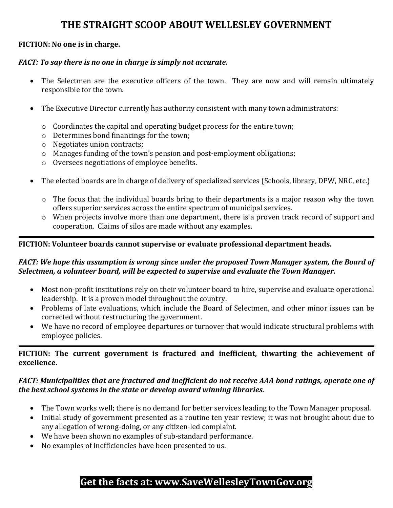# **THE STRAIGHT SCOOP ABOUT WELLESLEY GOVERNMENT**

## **FICTION: No one is in charge.**

#### *FACT: To say there is no one in charge is simply not accurate.*

- The Selectmen are the executive officers of the town. They are now and will remain ultimately responsible for the town.
- The Executive Director currently has authority consistent with many town administrators:
	- $\circ$  Coordinates the capital and operating budget process for the entire town;
	- $\circ$  Determines bond financings for the town;
	- $\circ$  Negotiates union contracts;
	- $\circ$  Manages funding of the town's pension and post-employment obligations;
	- $\circ$  Oversees negotiations of employee benefits.
- The elected boards are in charge of delivery of specialized services (Schools, library, DPW, NRC, etc.)
	- $\circ$  The focus that the individual boards bring to their departments is a major reason why the town offers superior services across the entire spectrum of municipal services.
	- $\circ$  When projects involve more than one department, there is a proven track record of support and cooperation. Claims of silos are made without any examples.

#### **FICTION: Volunteer boards cannot supervise or evaluate professional department heads.**

#### *FACT: We hope this assumption is wrong since under the proposed Town Manager system, the Board of Selectmen, a volunteer board, will be expected to supervise and evaluate the Town Manager.*

- Most non-profit institutions rely on their volunteer board to hire, supervise and evaluate operational leadership. It is a proven model throughout the country.
- Problems of late evaluations, which include the Board of Selectmen, and other minor issues can be corrected without restructuring the government.
- We have no record of employee departures or turnover that would indicate structural problems with employee policies.

## **FICTION: The current government is fractured and inefficient, thwarting the achievement of excellence.**

#### *FACT: Municipalities that are fractured and inefficient do not receive AAA bond ratings, operate one of the best school systems in the state or develop award winning libraries.*

- The Town works well; there is no demand for better services leading to the Town Manager proposal.
- Initial study of government presented as a routine ten year review; it was not brought about due to any allegation of wrong-doing, or any citizen-led complaint.
- We have been shown no examples of sub-standard performance.
- No examples of inefficiencies have been presented to us.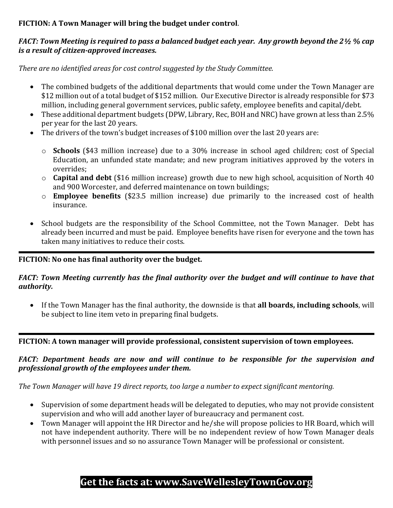## **FICTION: A Town Manager will bring the budget under control**.

## FACT: Town Meeting is required to pass a balanced budget each year. Any growth beyond the 2½ % cap *is a result of citizen‐approved increases.*

*There are no identified areas for cost control suggested by the Study Committee.*

- The combined budgets of the additional departments that would come under the Town Manager are \$12 million out of a total budget of \$152 million. Our Executive Director is already responsible for \$73 million, including general government services, public safety, employee benefits and capital/debt.
- These additional department budgets (DPW, Library, Rec, BOH and NRC) have grown at less than 2.5% per year for the last 20 years.
- The drivers of the town's budget increases of \$100 million over the last 20 years are:
	- o **Schools** (\$43 million increase) due to a 30% increase in school aged children; cost of Special Education, an unfunded state mandate; and new program initiatives approved by the voters in overrides;
	- o **Capital and debt** (\$16 million increase) growth due to new high school, acquisition of North 40 and 900 Worcester, and deferred maintenance on town buildings;
	- o **Employee benefits** (\$23.5 million increase) due primarily to the increased cost of health insurance.
- School budgets are the responsibility of the School Committee, not the Town Manager. Debt has already been incurred and must be paid. Employee benefits have risen for everyone and the town has taken many initiatives to reduce their costs.

## **FICTION: No one has final authority over the budget.**

## *FACT: Town Meeting currently has the final authority over the budget and will continue to have that authority.*

• If the Town Manager has the final authority, the downside is that **all boards, including schools**, will be subject to line item veto in preparing final budgets.

**FICTION: A town manager will provide professional, consistent supervision of town employees.** 

## *FACT: Department heads are now and will continue to be responsible for the supervision and professional growth of the employees under them.*

*The Town Manager will have 19 direct reports, too large a number to expect significant mentoring.*

- Supervision of some department heads will be delegated to deputies, who may not provide consistent supervision and who will add another layer of bureaucracy and permanent cost.
- Town Manager will appoint the HR Director and he/she will propose policies to HR Board, which will not have independent authority. There will be no independent review of how Town Manager deals with personnel issues and so no assurance Town Manager will be professional or consistent.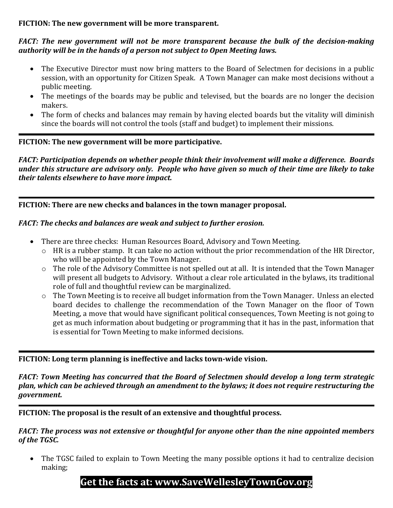#### **FICTION: The new government will be more transparent.**

#### *FACT: The new government will not be more transparent because the bulk of the decision‐making authority will be in the hands of a person not subject to Open Meeting laws.*

- The Executive Director must now bring matters to the Board of Selectmen for decisions in a public session, with an opportunity for Citizen Speak. A Town Manager can make most decisions without a public meeting.
- The meetings of the boards may be public and televised, but the boards are no longer the decision makers.
- The form of checks and balances may remain by having elected boards but the vitality will diminish since the boards will not control the tools (staff and budget) to implement their missions.

#### **FICTION: The new government will be more participative.**

*FACT: Participation depends on whether people think their involvement will make a difference. Boards* under this structure are advisory only. People who have given so much of their time are likely to take *their talents elsewhere to have more impact.* 

**FICTION: There are new checks and balances in the town manager proposal.**

#### *FACT: The checks and balances are weak and subject to further erosion.*

- There are three checks: Human Resources Board, Advisory and Town Meeting.
	- $\circ$  HR is a rubber stamp. It can take no action without the prior recommendation of the HR Director. who will be appointed by the Town Manager.
	- $\circ$  The role of the Advisory Committee is not spelled out at all. It is intended that the Town Manager will present all budgets to Advisory. Without a clear role articulated in the bylaws, its traditional role of full and thoughtful review can be marginalized.
	- $\circ$  The Town Meeting is to receive all budget information from the Town Manager. Unless an elected board decides to challenge the recommendation of the Town Manager on the floor of Town Meeting, a move that would have significant political consequences, Town Meeting is not going to get as much information about budgeting or programming that it has in the past, information that is essential for Town Meeting to make informed decisions.

## **FICTION: Long term planning is ineffective and lacks town‐wide vision.**

*FACT: Town Meeting has concurred that the Board of Selectmen should develop a long term strategic plan, which can be achieved through an amendment to the bylaws; it does not require restructuring the government.*

**FICTION: The proposal is the result of an extensive and thoughtful process.** 

*FACT: The process was not extensive or thoughtful for anyone other than the nine appointed members of the TGSC.* 

• The TGSC failed to explain to Town Meeting the many possible options it had to centralize decision making;